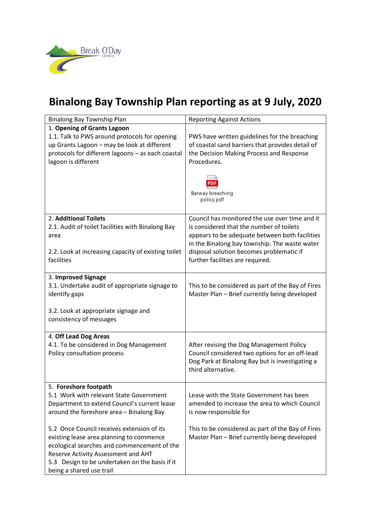

## **Binalong Bay Township Plan reporting as at 9 July, 2020**

| Binalong Bay Township Plan                                                                                                                                                                                                                                 | <b>Reporting Against Actions</b>                                                                                                                                    |
|------------------------------------------------------------------------------------------------------------------------------------------------------------------------------------------------------------------------------------------------------------|---------------------------------------------------------------------------------------------------------------------------------------------------------------------|
| 1. Opening of Grants Lagoon                                                                                                                                                                                                                                |                                                                                                                                                                     |
| 1.1. Talk to PWS around protocols for opening<br>up Grants Lagoon - may be look at different<br>protocols for different lagoons - as each coastal<br>lagoon is different                                                                                   | PWS have written guidelines for the breaching<br>of coastal sand barriers that provides detail of<br>the Decision Making Process and Response<br>Procedures.        |
|                                                                                                                                                                                                                                                            | Barway breaching<br>policy.pdf                                                                                                                                      |
| 2. Additional Toilets                                                                                                                                                                                                                                      | Council has monitored the use over time and it                                                                                                                      |
| 2.1. Audit of toilet facilities with Binalong Bay<br>area                                                                                                                                                                                                  | is considered that the number of toilets<br>appears to be adequate between both facilities<br>in the Binalong bay township. The waste water                         |
| 2.2. Look at increasing capacity of existing toilet<br>facilities                                                                                                                                                                                          | disposal solution becomes problematic if<br>further facilities are required.                                                                                        |
| 3. Improved Signage                                                                                                                                                                                                                                        |                                                                                                                                                                     |
| 3.1. Undertake audit of appropriate signage to<br>identify gaps                                                                                                                                                                                            | This to be considered as part of the Bay of Fires<br>Master Plan - Brief currently being developed                                                                  |
| 3.2. Look at appropriate signage and<br>consistency of messages                                                                                                                                                                                            |                                                                                                                                                                     |
| 4. Off Lead Dog Areas                                                                                                                                                                                                                                      |                                                                                                                                                                     |
| 4.1. To be considered in Dog Management<br>Policy consultation process                                                                                                                                                                                     | After revising the Dog Management Policy<br>Council considered two options for an off-lead<br>Dog Park at Binalong Bay but is investigating a<br>third alternative. |
| 5. Foreshore footpath                                                                                                                                                                                                                                      |                                                                                                                                                                     |
| 5.1 Work with relevant State Government<br>Department to extend Council's current lease<br>around the foreshore area - Binalong Bay                                                                                                                        | Lease with the State Government has been<br>amended to increase the area to which Council<br>is now responsible for                                                 |
| 5.2 Once Council receives extension of its<br>existing lease area planning to commence<br>ecological searches and commencement of the<br>Reserve Activity Assessment and AHT<br>5.3 Design to be undertaken on the basis if it<br>being a shared use trail | This to be considered as part of the Bay of Fires<br>Master Plan - Brief currently being developed                                                                  |